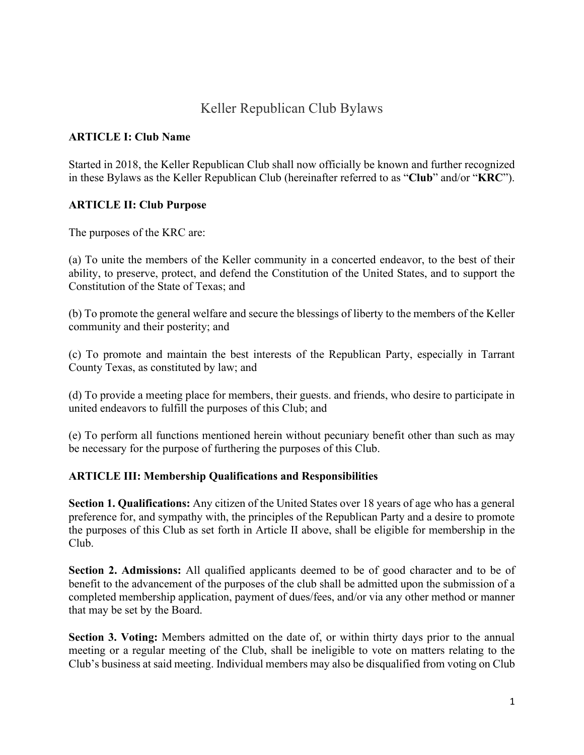# Keller Republican Club Bylaws

### **ARTICLE I: Club Name**

Started in 2018, the Keller Republican Club shall now officially be known and further recognized in these Bylaws as the Keller Republican Club (hereinafter referred to as "**Club**" and/or "**KRC**").

### **ARTICLE II: Club Purpose**

The purposes of the KRC are:

(a) To unite the members of the Keller community in a concerted endeavor, to the best of their ability, to preserve, protect, and defend the Constitution of the United States, and to support the Constitution of the State of Texas; and

(b) To promote the general welfare and secure the blessings of liberty to the members of the Keller community and their posterity; and

(c) To promote and maintain the best interests of the Republican Party, especially in Tarrant County Texas, as constituted by law; and

(d) To provide a meeting place for members, their guests. and friends, who desire to participate in united endeavors to fulfill the purposes of this Club; and

(e) To perform all functions mentioned herein without pecuniary benefit other than such as may be necessary for the purpose of furthering the purposes of this Club.

#### **ARTICLE III: Membership Qualifications and Responsibilities**

**Section 1. Qualifications:** Any citizen of the United States over 18 years of age who has a general preference for, and sympathy with, the principles of the Republican Party and a desire to promote the purposes of this Club as set forth in Article II above, shall be eligible for membership in the Club.

**Section 2. Admissions:** All qualified applicants deemed to be of good character and to be of benefit to the advancement of the purposes of the club shall be admitted upon the submission of a completed membership application, payment of dues/fees, and/or via any other method or manner that may be set by the Board.

**Section 3. Voting:** Members admitted on the date of, or within thirty days prior to the annual meeting or a regular meeting of the Club, shall be ineligible to vote on matters relating to the Club's business at said meeting. Individual members may also be disqualified from voting on Club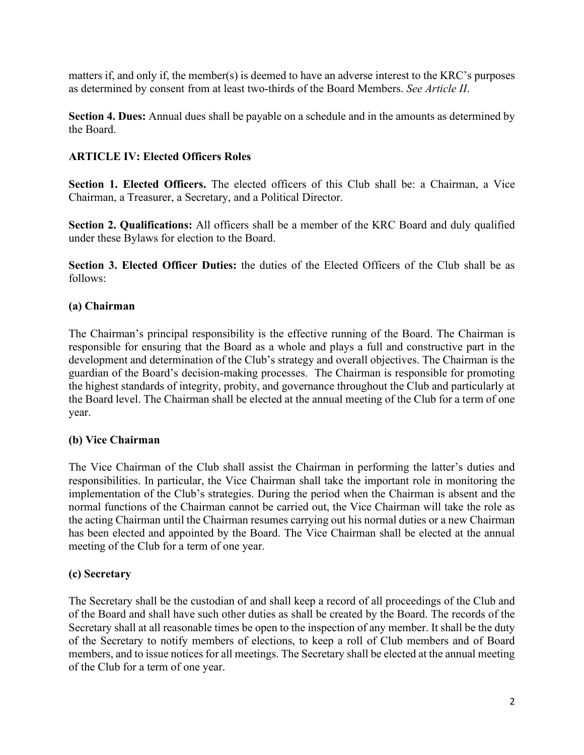matters if, and only if, the member(s) is deemed to have an adverse interest to the KRC's purposes as determined by consent from at least two-thirds of the Board Members. *See Article II*.

**Section 4. Dues:** Annual dues shall be payable on a schedule and in the amounts as determined by the Board.

### **ARTICLE IV: Elected Officers Roles**

**Section 1. Elected Officers.** The elected officers of this Club shall be: a Chairman, a Vice Chairman, a Treasurer, a Secretary, and a Political Director.

**Section 2. Qualifications:** All officers shall be a member of the KRC Board and duly qualified under these Bylaws for election to the Board.

**Section 3. Elected Officer Duties:** the duties of the Elected Officers of the Club shall be as follows:

### **(a) Chairman**

The Chairman's principal responsibility is the effective running of the Board. The Chairman is responsible for ensuring that the Board as a whole and plays a full and constructive part in the development and determination of the Club's strategy and overall objectives. The Chairman is the guardian of the Board's decision-making processes. The Chairman is responsible for promoting the highest standards of integrity, probity, and governance throughout the Club and particularly at the Board level. The Chairman shall be elected at the annual meeting of the Club for a term of one year.

#### **(b) Vice Chairman**

The Vice Chairman of the Club shall assist the Chairman in performing the latter's duties and responsibilities. In particular, the Vice Chairman shall take the important role in monitoring the implementation of the Club's strategies. During the period when the Chairman is absent and the normal functions of the Chairman cannot be carried out, the Vice Chairman will take the role as the acting Chairman until the Chairman resumes carrying out his normal duties or a new Chairman has been elected and appointed by the Board. The Vice Chairman shall be elected at the annual meeting of the Club for a term of one year.

#### **(c) Secretary**

The Secretary shall be the custodian of and shall keep a record of all proceedings of the Club and of the Board and shall have such other duties as shall be created by the Board. The records of the Secretary shall at all reasonable times be open to the inspection of any member. It shall be the duty of the Secretary to notify members of elections, to keep a roll of Club members and of Board members, and to issue notices for all meetings. The Secretary shall be elected at the annual meeting of the Club for a term of one year.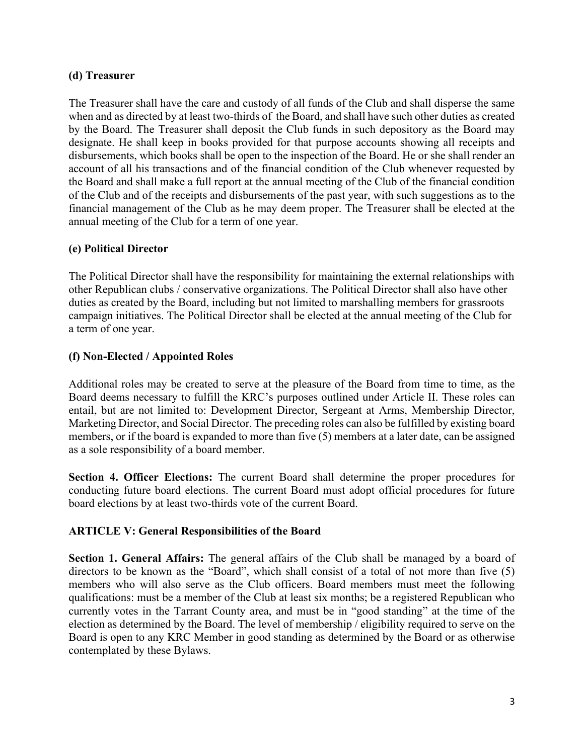### **(d) Treasurer**

The Treasurer shall have the care and custody of all funds of the Club and shall disperse the same when and as directed by at least two-thirds of the Board, and shall have such other duties as created by the Board. The Treasurer shall deposit the Club funds in such depository as the Board may designate. He shall keep in books provided for that purpose accounts showing all receipts and disbursements, which books shall be open to the inspection of the Board. He or she shall render an account of all his transactions and of the financial condition of the Club whenever requested by the Board and shall make a full report at the annual meeting of the Club of the financial condition of the Club and of the receipts and disbursements of the past year, with such suggestions as to the financial management of the Club as he may deem proper. The Treasurer shall be elected at the annual meeting of the Club for a term of one year.

### **(e) Political Director**

The Political Director shall have the responsibility for maintaining the external relationships with other Republican clubs / conservative organizations. The Political Director shall also have other duties as created by the Board, including but not limited to marshalling members for grassroots campaign initiatives. The Political Director shall be elected at the annual meeting of the Club for a term of one year.

## **(f) Non-Elected / Appointed Roles**

Additional roles may be created to serve at the pleasure of the Board from time to time, as the Board deems necessary to fulfill the KRC's purposes outlined under Article II. These roles can entail, but are not limited to: Development Director, Sergeant at Arms, Membership Director, Marketing Director, and Social Director. The preceding roles can also be fulfilled by existing board members, or if the board is expanded to more than five (5) members at a later date, can be assigned as a sole responsibility of a board member.

**Section 4. Officer Elections:** The current Board shall determine the proper procedures for conducting future board elections. The current Board must adopt official procedures for future board elections by at least two-thirds vote of the current Board.

## **ARTICLE V: General Responsibilities of the Board**

**Section 1. General Affairs:** The general affairs of the Club shall be managed by a board of directors to be known as the "Board", which shall consist of a total of not more than five (5) members who will also serve as the Club officers. Board members must meet the following qualifications: must be a member of the Club at least six months; be a registered Republican who currently votes in the Tarrant County area, and must be in "good standing" at the time of the election as determined by the Board. The level of membership / eligibility required to serve on the Board is open to any KRC Member in good standing as determined by the Board or as otherwise contemplated by these Bylaws.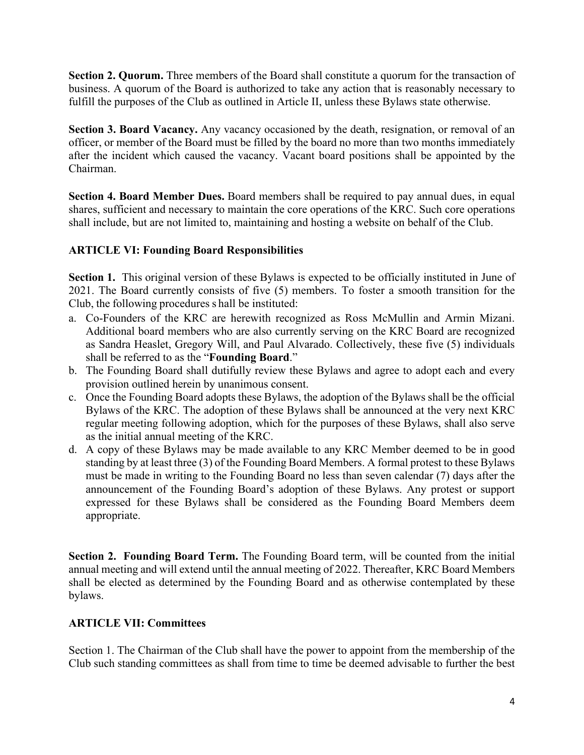**Section 2. Quorum.** Three members of the Board shall constitute a quorum for the transaction of business. A quorum of the Board is authorized to take any action that is reasonably necessary to fulfill the purposes of the Club as outlined in Article II, unless these Bylaws state otherwise.

**Section 3. Board Vacancy.** Any vacancy occasioned by the death, resignation, or removal of an officer, or member of the Board must be filled by the board no more than two months immediately after the incident which caused the vacancy. Vacant board positions shall be appointed by the Chairman.

**Section 4. Board Member Dues.** Board members shall be required to pay annual dues, in equal shares, sufficient and necessary to maintain the core operations of the KRC. Such core operations shall include, but are not limited to, maintaining and hosting a website on behalf of the Club.

### **ARTICLE VI: Founding Board Responsibilities**

**Section 1.** This original version of these Bylaws is expected to be officially instituted in June of 2021. The Board currently consists of five (5) members. To foster a smooth transition for the Club, the following procedures s hall be instituted:

- a. Co-Founders of the KRC are herewith recognized as Ross McMullin and Armin Mizani. Additional board members who are also currently serving on the KRC Board are recognized as Sandra Heaslet, Gregory Will, and Paul Alvarado. Collectively, these five (5) individuals shall be referred to as the "**Founding Board**."
- b. The Founding Board shall dutifully review these Bylaws and agree to adopt each and every provision outlined herein by unanimous consent.
- c. Once the Founding Board adopts these Bylaws, the adoption of the Bylaws shall be the official Bylaws of the KRC. The adoption of these Bylaws shall be announced at the very next KRC regular meeting following adoption, which for the purposes of these Bylaws, shall also serve as the initial annual meeting of the KRC.
- d. A copy of these Bylaws may be made available to any KRC Member deemed to be in good standing by at least three (3) of the Founding Board Members. A formal protest to these Bylaws must be made in writing to the Founding Board no less than seven calendar (7) days after the announcement of the Founding Board's adoption of these Bylaws. Any protest or support expressed for these Bylaws shall be considered as the Founding Board Members deem appropriate.

**Section 2. Founding Board Term.** The Founding Board term, will be counted from the initial annual meeting and will extend until the annual meeting of 2022. Thereafter, KRC Board Members shall be elected as determined by the Founding Board and as otherwise contemplated by these bylaws.

## **ARTICLE VII: Committees**

Section 1. The Chairman of the Club shall have the power to appoint from the membership of the Club such standing committees as shall from time to time be deemed advisable to further the best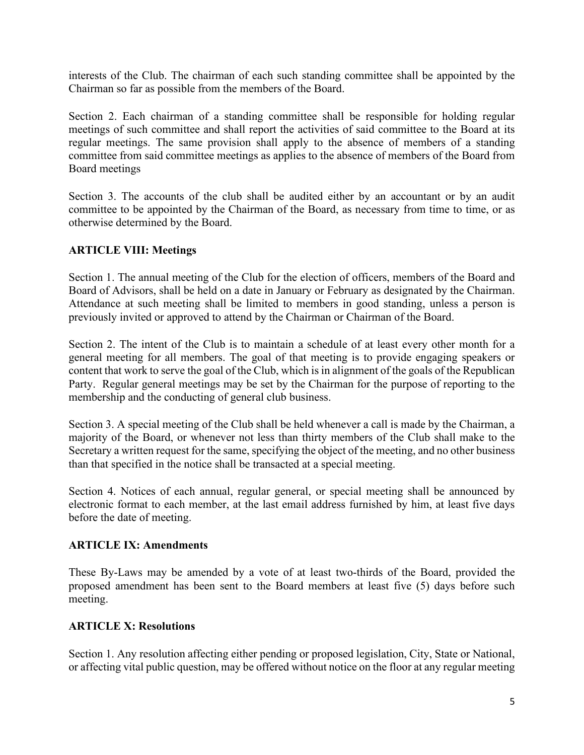interests of the Club. The chairman of each such standing committee shall be appointed by the Chairman so far as possible from the members of the Board.

Section 2. Each chairman of a standing committee shall be responsible for holding regular meetings of such committee and shall report the activities of said committee to the Board at its regular meetings. The same provision shall apply to the absence of members of a standing committee from said committee meetings as applies to the absence of members of the Board from Board meetings

Section 3. The accounts of the club shall be audited either by an accountant or by an audit committee to be appointed by the Chairman of the Board, as necessary from time to time, or as otherwise determined by the Board.

#### **ARTICLE VIII: Meetings**

Section 1. The annual meeting of the Club for the election of officers, members of the Board and Board of Advisors, shall be held on a date in January or February as designated by the Chairman. Attendance at such meeting shall be limited to members in good standing, unless a person is previously invited or approved to attend by the Chairman or Chairman of the Board.

Section 2. The intent of the Club is to maintain a schedule of at least every other month for a general meeting for all members. The goal of that meeting is to provide engaging speakers or content that work to serve the goal of the Club, which is in alignment of the goals of the Republican Party. Regular general meetings may be set by the Chairman for the purpose of reporting to the membership and the conducting of general club business.

Section 3. A special meeting of the Club shall be held whenever a call is made by the Chairman, a majority of the Board, or whenever not less than thirty members of the Club shall make to the Secretary a written request for the same, specifying the object of the meeting, and no other business than that specified in the notice shall be transacted at a special meeting.

Section 4. Notices of each annual, regular general, or special meeting shall be announced by electronic format to each member, at the last email address furnished by him, at least five days before the date of meeting.

#### **ARTICLE IX: Amendments**

These By-Laws may be amended by a vote of at least two-thirds of the Board, provided the proposed amendment has been sent to the Board members at least five (5) days before such meeting.

#### **ARTICLE X: Resolutions**

Section 1. Any resolution affecting either pending or proposed legislation, City, State or National, or affecting vital public question, may be offered without notice on the floor at any regular meeting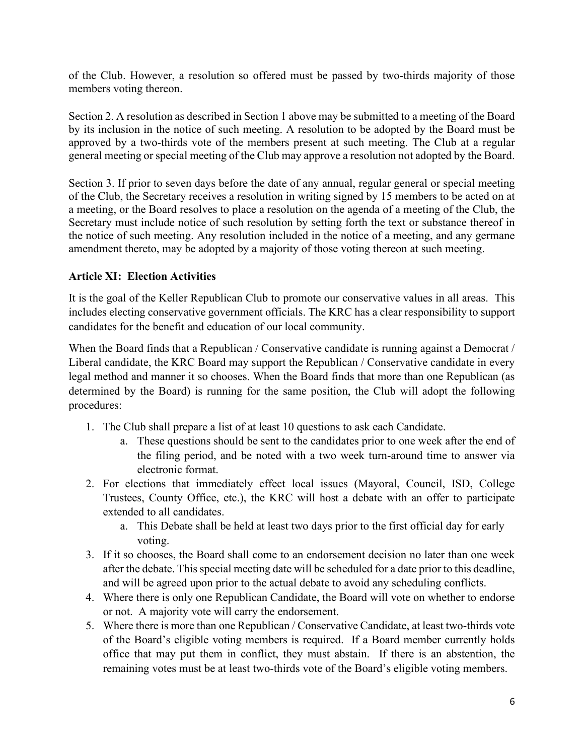of the Club. However, a resolution so offered must be passed by two-thirds majority of those members voting thereon.

Section 2. A resolution as described in Section 1 above may be submitted to a meeting of the Board by its inclusion in the notice of such meeting. A resolution to be adopted by the Board must be approved by a two-thirds vote of the members present at such meeting. The Club at a regular general meeting or special meeting of the Club may approve a resolution not adopted by the Board.

Section 3. If prior to seven days before the date of any annual, regular general or special meeting of the Club, the Secretary receives a resolution in writing signed by 15 members to be acted on at a meeting, or the Board resolves to place a resolution on the agenda of a meeting of the Club, the Secretary must include notice of such resolution by setting forth the text or substance thereof in the notice of such meeting. Any resolution included in the notice of a meeting, and any germane amendment thereto, may be adopted by a majority of those voting thereon at such meeting.

#### **Article XI: Election Activities**

It is the goal of the Keller Republican Club to promote our conservative values in all areas. This includes electing conservative government officials. The KRC has a clear responsibility to support candidates for the benefit and education of our local community.

When the Board finds that a Republican / Conservative candidate is running against a Democrat / Liberal candidate, the KRC Board may support the Republican / Conservative candidate in every legal method and manner it so chooses. When the Board finds that more than one Republican (as determined by the Board) is running for the same position, the Club will adopt the following procedures:

- 1. The Club shall prepare a list of at least 10 questions to ask each Candidate.
	- a. These questions should be sent to the candidates prior to one week after the end of the filing period, and be noted with a two week turn-around time to answer via electronic format.
- 2. For elections that immediately effect local issues (Mayoral, Council, ISD, College Trustees, County Office, etc.), the KRC will host a debate with an offer to participate extended to all candidates.
	- a. This Debate shall be held at least two days prior to the first official day for early voting.
- 3. If it so chooses, the Board shall come to an endorsement decision no later than one week after the debate. This special meeting date will be scheduled for a date prior to this deadline, and will be agreed upon prior to the actual debate to avoid any scheduling conflicts.
- 4. Where there is only one Republican Candidate, the Board will vote on whether to endorse or not. A majority vote will carry the endorsement.
- 5. Where there is more than one Republican / Conservative Candidate, at least two-thirds vote of the Board's eligible voting members is required. If a Board member currently holds office that may put them in conflict, they must abstain. If there is an abstention, the remaining votes must be at least two-thirds vote of the Board's eligible voting members.